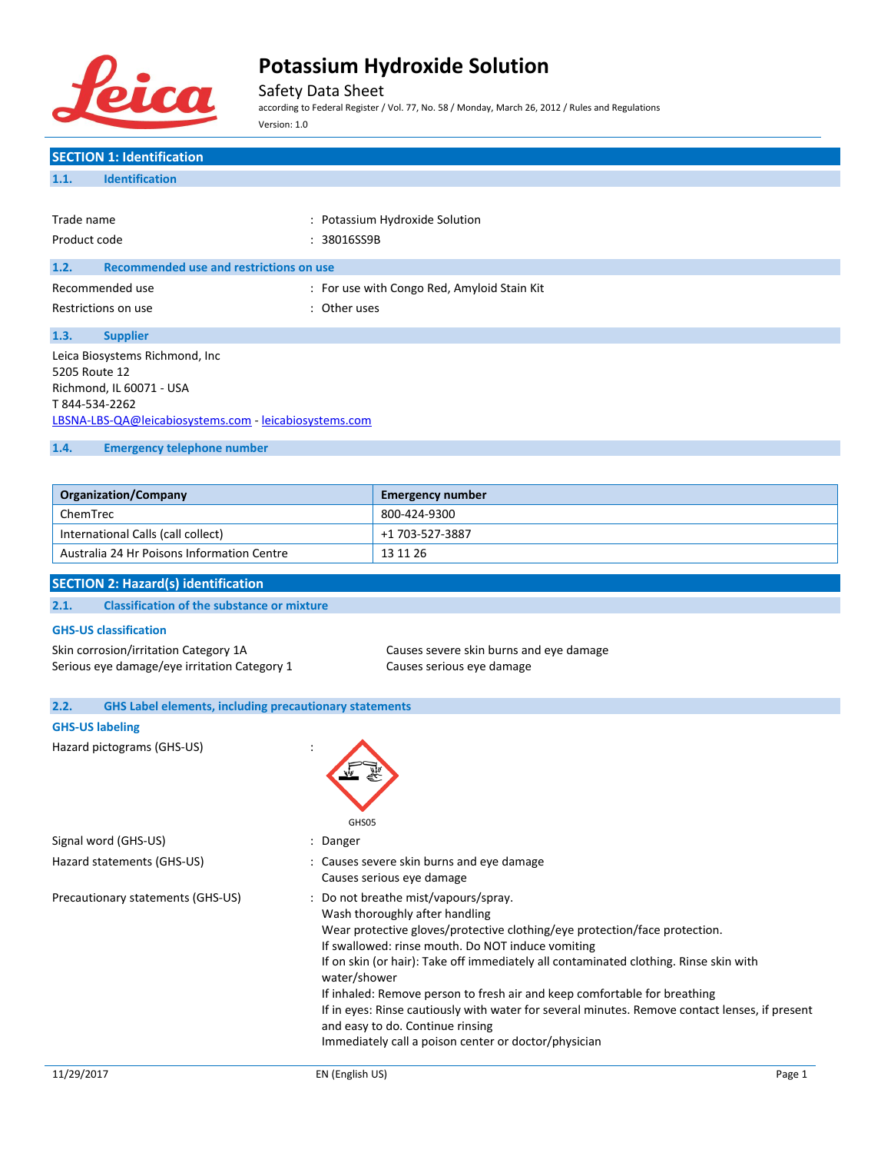

Safety Data Sheet

according to Federal Register / Vol. 77, No. 58 / Monday, March 26, 2012 / Rules and Regulations Version: 1.0

| <b>SECTION 1: Identification</b>                                      |              |                                                                                                              |
|-----------------------------------------------------------------------|--------------|--------------------------------------------------------------------------------------------------------------|
| <b>Identification</b><br>1.1.                                         |              |                                                                                                              |
|                                                                       |              |                                                                                                              |
| Trade name                                                            |              | : Potassium Hydroxide Solution                                                                               |
| Product code                                                          | : 38016SS9B  |                                                                                                              |
| <b>Recommended use and restrictions on use</b><br>1.2.                |              |                                                                                                              |
| Recommended use                                                       |              | : For use with Congo Red, Amyloid Stain Kit                                                                  |
| Restrictions on use                                                   | : Other uses |                                                                                                              |
| 1.3.<br><b>Supplier</b>                                               |              |                                                                                                              |
| Leica Biosystems Richmond, Inc                                        |              |                                                                                                              |
| 5205 Route 12                                                         |              |                                                                                                              |
| Richmond, IL 60071 - USA<br>T844-534-2262                             |              |                                                                                                              |
| LBSNA-LBS-QA@leicabiosystems.com - leicabiosystems.com                |              |                                                                                                              |
| 1.4.<br><b>Emergency telephone number</b>                             |              |                                                                                                              |
|                                                                       |              |                                                                                                              |
| <b>Organization/Company</b>                                           |              | <b>Emergency number</b>                                                                                      |
| ChemTrec                                                              |              | 800-424-9300                                                                                                 |
| International Calls (call collect)                                    |              | +1 703-527-3887                                                                                              |
| Australia 24 Hr Poisons Information Centre                            |              | 13 11 26                                                                                                     |
| <b>SECTION 2: Hazard(s) identification</b>                            |              |                                                                                                              |
| <b>Classification of the substance or mixture</b><br>2.1.             |              |                                                                                                              |
| <b>GHS-US classification</b>                                          |              |                                                                                                              |
| Skin corrosion/irritation Category 1A                                 |              | Causes severe skin burns and eye damage                                                                      |
| Serious eye damage/eye irritation Category 1                          |              | Causes serious eye damage                                                                                    |
|                                                                       |              |                                                                                                              |
| <b>GHS Label elements, including precautionary statements</b><br>2.2. |              |                                                                                                              |
| <b>GHS-US labeling</b>                                                |              |                                                                                                              |
| Hazard pictograms (GHS-US)                                            |              |                                                                                                              |
|                                                                       |              |                                                                                                              |
|                                                                       |              |                                                                                                              |
|                                                                       | GHS05        |                                                                                                              |
| Signal word (GHS-US)                                                  | : Danger     |                                                                                                              |
| Hazard statements (GHS-US)                                            |              | : Causes severe skin burns and eye damage                                                                    |
|                                                                       |              | Causes serious eye damage                                                                                    |
| Precautionary statements (GHS-US)                                     |              | : Do not breathe mist/vapours/spray.                                                                         |
|                                                                       |              | Wash thoroughly after handling<br>Wear protective gloves/protective clothing/eye protection/face protection. |
|                                                                       |              | If swallowed: rinse mouth. Do NOT induce vomiting                                                            |
|                                                                       |              | If on skin (or hair): Take off immediately all contaminated clothing. Rinse skin with                        |
|                                                                       | water/shower | If inhaled: Remove person to fresh air and keep comfortable for breathing                                    |
|                                                                       |              | If in eyes: Rinse cautiously with water for several minutes. Remove contact lenses, if present               |
|                                                                       |              | and easy to do. Continue rinsing                                                                             |
|                                                                       |              | Immediately call a poison center or doctor/physician                                                         |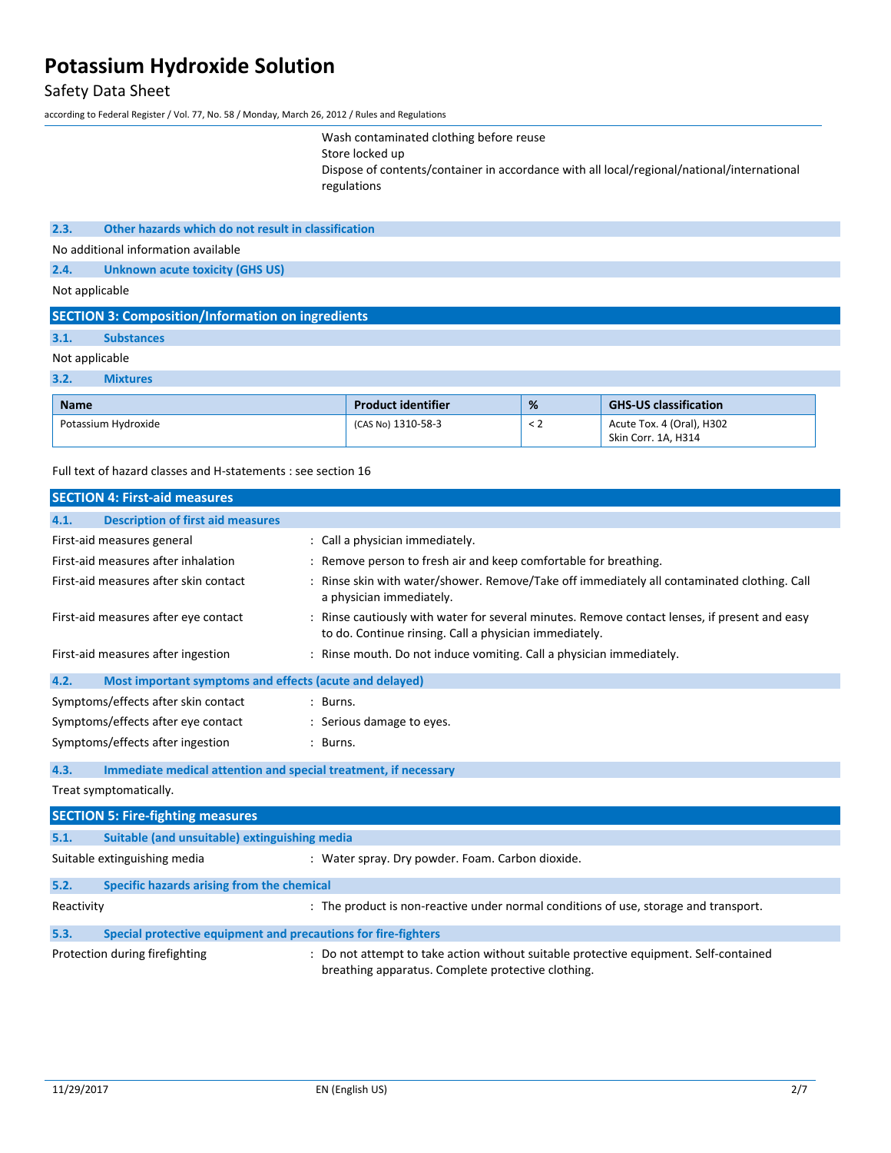### Safety Data Sheet

according to Federal Register / Vol. 77, No. 58 / Monday, March 26, 2012 / Rules and Regulations

Wash contaminated clothing before reuse Store locked up Dispose of contents/container in accordance with all local/regional/national/international regulations

### **2.3. Other hazards which do not result in classification**

No additional information available

**2.4. Unknown acute toxicity (GHS US)**

Not applicable

### **SECTION 3: Composition/Information on ingredients**

### **3.1. Substances**

### Not applicable

**3.2. Mixtures**

| <b>Name</b>         | <b>Product identifier</b> | % | <b>GHS-US classification</b> |
|---------------------|---------------------------|---|------------------------------|
| Potassium Hydroxide | (CAS No) 1310-58-3        |   | Acute Tox. 4 (Oral), H302    |
|                     |                           |   | Skin Corr. 1A. H314          |

Full text of hazard classes and H-statements : see section 16

|            | <b>SECTION 4: First-aid measures</b>                            |                                                                                                                                                         |
|------------|-----------------------------------------------------------------|---------------------------------------------------------------------------------------------------------------------------------------------------------|
| 4.1.       | <b>Description of first aid measures</b>                        |                                                                                                                                                         |
|            | First-aid measures general                                      | : Call a physician immediately.                                                                                                                         |
|            | First-aid measures after inhalation                             | : Remove person to fresh air and keep comfortable for breathing.                                                                                        |
|            | First-aid measures after skin contact                           | : Rinse skin with water/shower. Remove/Take off immediately all contaminated clothing. Call<br>a physician immediately.                                 |
|            | First-aid measures after eye contact                            | : Rinse cautiously with water for several minutes. Remove contact lenses, if present and easy<br>to do. Continue rinsing. Call a physician immediately. |
|            | First-aid measures after ingestion                              | : Rinse mouth. Do not induce vomiting. Call a physician immediately.                                                                                    |
| 4.2.       | Most important symptoms and effects (acute and delayed)         |                                                                                                                                                         |
|            | Symptoms/effects after skin contact                             | : Burns.                                                                                                                                                |
|            | Symptoms/effects after eye contact                              | : Serious damage to eyes.                                                                                                                               |
|            | Symptoms/effects after ingestion                                | : Burns.                                                                                                                                                |
| 4.3.       | Immediate medical attention and special treatment, if necessary |                                                                                                                                                         |
|            | Treat symptomatically.                                          |                                                                                                                                                         |
|            | <b>SECTION 5: Fire-fighting measures</b>                        |                                                                                                                                                         |
| 5.1.       | Suitable (and unsuitable) extinguishing media                   |                                                                                                                                                         |
|            | Suitable extinguishing media                                    | : Water spray. Dry powder. Foam. Carbon dioxide.                                                                                                        |
| 5.2.       | Specific hazards arising from the chemical                      |                                                                                                                                                         |
| Reactivity |                                                                 | : The product is non-reactive under normal conditions of use, storage and transport.                                                                    |
| 5.3.       | Special protective equipment and precautions for fire-fighters  |                                                                                                                                                         |
|            | Protection during firefighting                                  | : Do not attempt to take action without suitable protective equipment. Self-contained<br>breathing apparatus. Complete protective clothing.             |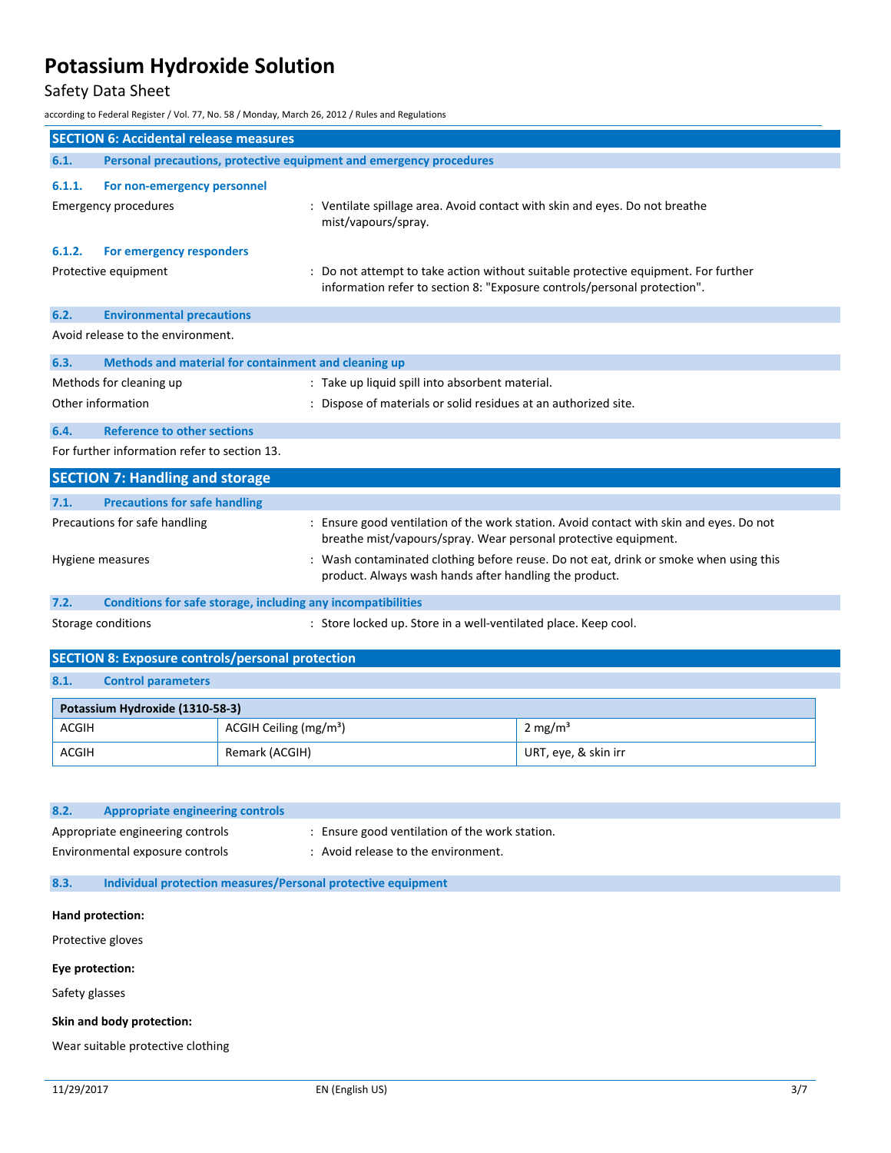### Safety Data Sheet

according to Federal Register / Vol. 77, No. 58 / Monday, March 26, 2012 / Rules and Regulations

|                   | <b>SECTION 6: Accidental release measures</b>                          |                                    |                                                                                                    |                                                                                         |  |
|-------------------|------------------------------------------------------------------------|------------------------------------|----------------------------------------------------------------------------------------------------|-----------------------------------------------------------------------------------------|--|
| 6.1.              | Personal precautions, protective equipment and emergency procedures    |                                    |                                                                                                    |                                                                                         |  |
| 6.1.1.            | For non-emergency personnel                                            |                                    |                                                                                                    |                                                                                         |  |
|                   | <b>Emergency procedures</b>                                            |                                    | : Ventilate spillage area. Avoid contact with skin and eyes. Do not breathe<br>mist/vapours/spray. |                                                                                         |  |
| 6.1.2.            | For emergency responders                                               |                                    |                                                                                                    |                                                                                         |  |
|                   | Protective equipment                                                   |                                    | information refer to section 8: "Exposure controls/personal protection".                           | : Do not attempt to take action without suitable protective equipment. For further      |  |
| 6.2.              | <b>Environmental precautions</b>                                       |                                    |                                                                                                    |                                                                                         |  |
|                   | Avoid release to the environment.                                      |                                    |                                                                                                    |                                                                                         |  |
| 6.3.              | Methods and material for containment and cleaning up                   |                                    |                                                                                                    |                                                                                         |  |
|                   | Methods for cleaning up                                                |                                    | : Take up liquid spill into absorbent material.                                                    |                                                                                         |  |
|                   | Other information                                                      |                                    | : Dispose of materials or solid residues at an authorized site.                                    |                                                                                         |  |
| 6.4.              | <b>Reference to other sections</b>                                     |                                    |                                                                                                    |                                                                                         |  |
|                   | For further information refer to section 13.                           |                                    |                                                                                                    |                                                                                         |  |
|                   | <b>SECTION 7: Handling and storage</b>                                 |                                    |                                                                                                    |                                                                                         |  |
| 7.1.              | <b>Precautions for safe handling</b>                                   |                                    |                                                                                                    |                                                                                         |  |
|                   |                                                                        |                                    |                                                                                                    | : Ensure good ventilation of the work station. Avoid contact with skin and eyes. Do not |  |
|                   | Precautions for safe handling                                          |                                    | breathe mist/vapours/spray. Wear personal protective equipment.                                    |                                                                                         |  |
|                   | Hygiene measures                                                       |                                    | : Wash contaminated clothing before reuse. Do not eat, drink or smoke when using this              |                                                                                         |  |
|                   |                                                                        |                                    | product. Always wash hands after handling the product.                                             |                                                                                         |  |
| 7.2.              | Conditions for safe storage, including any incompatibilities           |                                    |                                                                                                    |                                                                                         |  |
|                   | Storage conditions                                                     |                                    | : Store locked up. Store in a well-ventilated place. Keep cool.                                    |                                                                                         |  |
|                   |                                                                        |                                    |                                                                                                    |                                                                                         |  |
|                   | <b>SECTION 8: Exposure controls/personal protection</b>                |                                    |                                                                                                    |                                                                                         |  |
| 8.1.              | <b>Control parameters</b>                                              |                                    |                                                                                                    |                                                                                         |  |
|                   | Potassium Hydroxide (1310-58-3)                                        |                                    |                                                                                                    |                                                                                         |  |
| <b>ACGIH</b>      |                                                                        | ACGIH Ceiling (mg/m <sup>3</sup> ) |                                                                                                    | $2 \text{ mg/m}^3$                                                                      |  |
| <b>ACGIH</b>      |                                                                        | Remark (ACGIH)                     |                                                                                                    | URT, eye, & skin irr                                                                    |  |
|                   |                                                                        |                                    |                                                                                                    |                                                                                         |  |
|                   |                                                                        |                                    |                                                                                                    |                                                                                         |  |
| 8.2.              | <b>Appropriate engineering controls</b>                                |                                    |                                                                                                    |                                                                                         |  |
|                   | Appropriate engineering controls                                       |                                    | : Ensure good ventilation of the work station.                                                     |                                                                                         |  |
|                   | Environmental exposure controls<br>: Avoid release to the environment. |                                    |                                                                                                    |                                                                                         |  |
| 8.3.              |                                                                        |                                    | Individual protection measures/Personal protective equipment                                       |                                                                                         |  |
| Hand protection:  |                                                                        |                                    |                                                                                                    |                                                                                         |  |
| Protective gloves |                                                                        |                                    |                                                                                                    |                                                                                         |  |
| Eye protection:   |                                                                        |                                    |                                                                                                    |                                                                                         |  |
| Safety glasses    |                                                                        |                                    |                                                                                                    |                                                                                         |  |
|                   |                                                                        |                                    |                                                                                                    |                                                                                         |  |

**Skin and body protection:**

Wear suitable protective clothing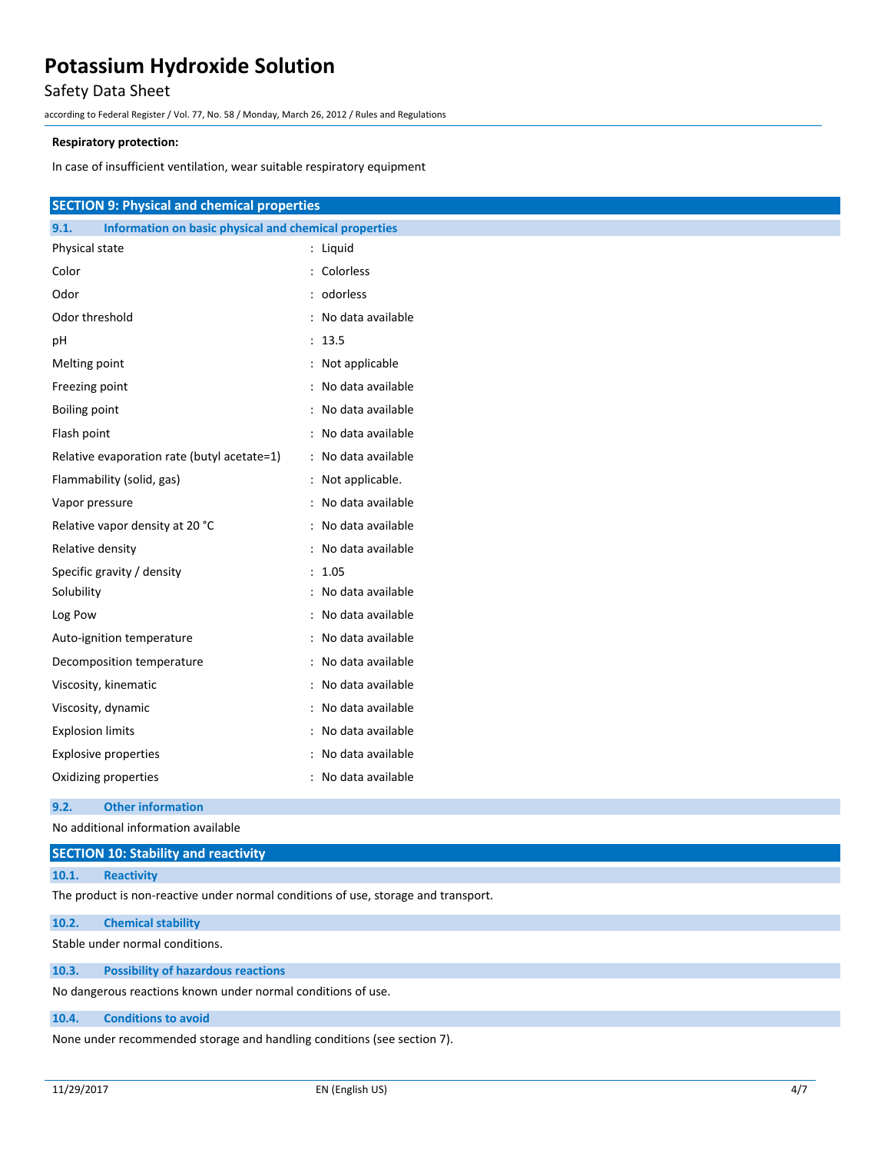### Safety Data Sheet

according to Federal Register / Vol. 77, No. 58 / Monday, March 26, 2012 / Rules and Regulations

### **Respiratory protection:**

In case of insufficient ventilation, wear suitable respiratory equipment

| <b>SECTION 9: Physical and chemical properties</b>            |                     |  |  |
|---------------------------------------------------------------|---------------------|--|--|
| Information on basic physical and chemical properties<br>9.1. |                     |  |  |
| Physical state                                                | : Liquid            |  |  |
| Color                                                         | : Colorless         |  |  |
| Odor                                                          | : odorless          |  |  |
| Odor threshold                                                | : No data available |  |  |
| pH                                                            | : 13.5              |  |  |
| Melting point                                                 | : Not applicable    |  |  |
| Freezing point                                                | : No data available |  |  |
| <b>Boiling point</b>                                          | : No data available |  |  |
| Flash point                                                   | : No data available |  |  |
| Relative evaporation rate (butyl acetate=1)                   | : No data available |  |  |
| Flammability (solid, gas)                                     | : Not applicable.   |  |  |
| Vapor pressure                                                | : No data available |  |  |
| Relative vapor density at 20 °C                               | : No data available |  |  |
| Relative density                                              | : No data available |  |  |
| Specific gravity / density                                    | : 1.05              |  |  |
| Solubility                                                    | : No data available |  |  |
| Log Pow                                                       | : No data available |  |  |
| Auto-ignition temperature                                     | : No data available |  |  |
| Decomposition temperature                                     | : No data available |  |  |
| Viscosity, kinematic                                          | : No data available |  |  |
| Viscosity, dynamic                                            | : No data available |  |  |
| <b>Explosion limits</b>                                       | : No data available |  |  |
| <b>Explosive properties</b>                                   | : No data available |  |  |
| Oxidizing properties                                          | : No data available |  |  |

#### **9.2. Other information**

No additional information available

| <b>SECTION 10: Stability and reactivity</b> |                   |  |  |  |  |
|---------------------------------------------|-------------------|--|--|--|--|
| 10.1.                                       | <b>Reactivity</b> |  |  |  |  |

The product is non-reactive under normal conditions of use, storage and transport.

### **10.2. Chemical stability**

Stable under normal conditions.

**10.3. Possibility of hazardous reactions**

No dangerous reactions known under normal conditions of use.

### **10.4. Conditions to avoid**

None under recommended storage and handling conditions (see section 7).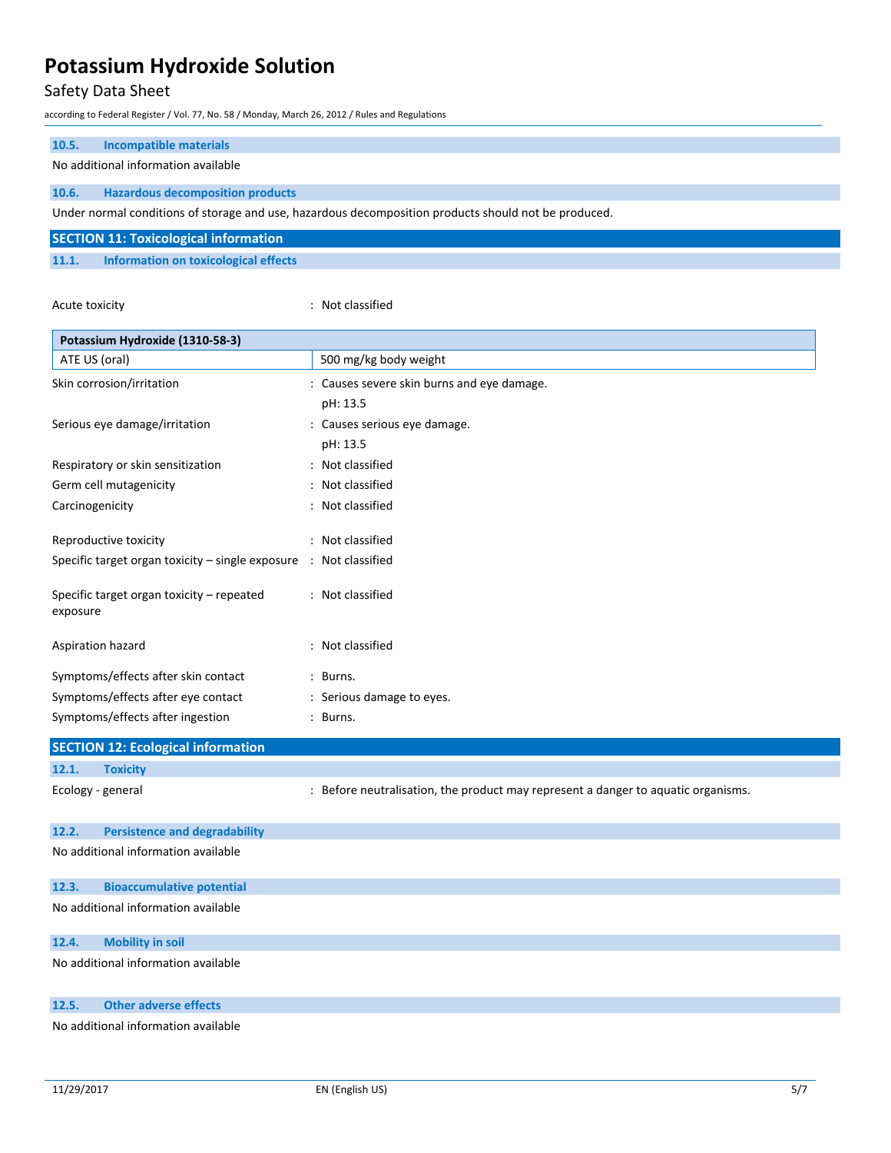### Safety Data Sheet

according to Federal Register / Vol. 77, No. 58 / Monday, March 26, 2012 / Rules and Regulations

| 10.5. | <b>Incompatible materials</b>       |
|-------|-------------------------------------|
|       | No additional information available |

**10.6. Hazardous decomposition products**

Under normal conditions of storage and use, hazardous decomposition products should not be produced.

|       | <b>SECTION 11: Toxicological information</b> |
|-------|----------------------------------------------|
| 11.1. | Information on toxicological effects         |

Acute toxicity **in the case of the Case of the Case of the Case of the Case of the Case of the Case of the Case of the Case of the Case of the Case of the Case of the Case of the Case of the Case of the Case of the Case of** 

| Potassium Hydroxide (1310-58-3)                                   |                                                                                   |  |  |
|-------------------------------------------------------------------|-----------------------------------------------------------------------------------|--|--|
| ATE US (oral)                                                     | 500 mg/kg body weight                                                             |  |  |
| Skin corrosion/irritation                                         | : Causes severe skin burns and eye damage.                                        |  |  |
|                                                                   | pH: 13.5                                                                          |  |  |
| Serious eye damage/irritation                                     | : Causes serious eye damage.                                                      |  |  |
|                                                                   | pH: 13.5                                                                          |  |  |
| Respiratory or skin sensitization                                 | : Not classified                                                                  |  |  |
| Germ cell mutagenicity                                            | : Not classified                                                                  |  |  |
| Carcinogenicity                                                   | : Not classified                                                                  |  |  |
| Reproductive toxicity                                             | : Not classified                                                                  |  |  |
| Specific target organ toxicity - single exposure : Not classified |                                                                                   |  |  |
| Specific target organ toxicity - repeated<br>exposure             | : Not classified                                                                  |  |  |
| Aspiration hazard                                                 | : Not classified                                                                  |  |  |
| Symptoms/effects after skin contact                               | : Burns.                                                                          |  |  |
| Symptoms/effects after eye contact                                | : Serious damage to eyes.                                                         |  |  |
| Symptoms/effects after ingestion                                  | : Burns.                                                                          |  |  |
| <b>SECTION 12: Ecological information</b>                         |                                                                                   |  |  |
| 12.1.<br><b>Toxicity</b>                                          |                                                                                   |  |  |
| Ecology - general                                                 | : Before neutralisation, the product may represent a danger to aquatic organisms. |  |  |
| 12.2.<br><b>Persistence and degradability</b>                     |                                                                                   |  |  |
| No additional information available                               |                                                                                   |  |  |
| 12.3.<br><b>Bioaccumulative potential</b>                         |                                                                                   |  |  |
| No additional information available                               |                                                                                   |  |  |
| 12.4.<br><b>Mobility in soil</b>                                  |                                                                                   |  |  |
| No additional information available                               |                                                                                   |  |  |
| <b>Other adverse effects</b><br>12.5.                             |                                                                                   |  |  |
| No additional information available                               |                                                                                   |  |  |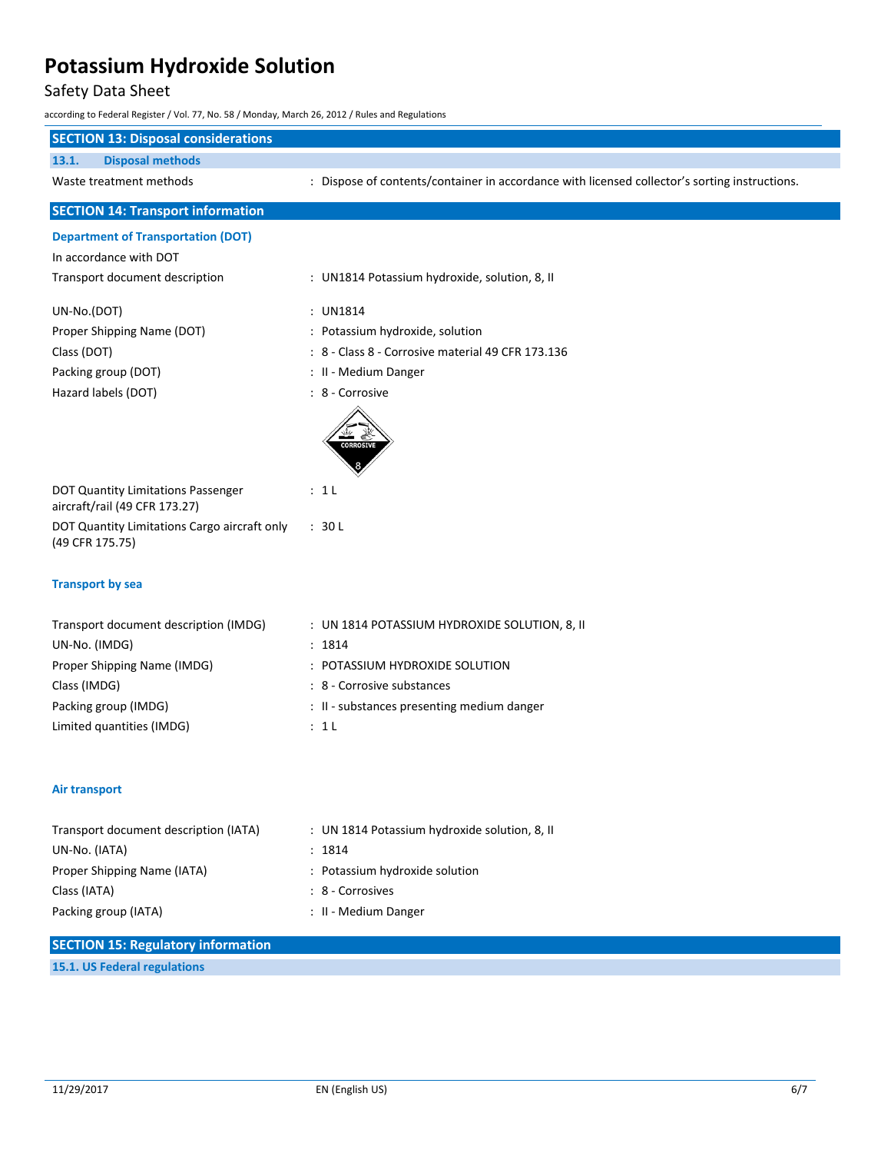### Safety Data Sheet

according to Federal Register / Vol. 77, No. 58 / Monday, March 26, 2012 / Rules and Regulations

| <b>SECTION 13: Disposal considerations</b>                          |                                                                                               |
|---------------------------------------------------------------------|-----------------------------------------------------------------------------------------------|
| <b>Disposal methods</b><br>13.1.                                    |                                                                                               |
| Waste treatment methods                                             | : Dispose of contents/container in accordance with licensed collector's sorting instructions. |
| <b>SECTION 14: Transport information</b>                            |                                                                                               |
| <b>Department of Transportation (DOT)</b>                           |                                                                                               |
| In accordance with DOT                                              |                                                                                               |
| Transport document description                                      | : UN1814 Potassium hydroxide, solution, 8, II                                                 |
| UN-No.(DOT)                                                         | : UN1814                                                                                      |
| Proper Shipping Name (DOT)                                          | : Potassium hydroxide, solution                                                               |
| Class (DOT)                                                         | : 8 - Class 8 - Corrosive material 49 CFR 173.136                                             |
| Packing group (DOT)                                                 | : II - Medium Danger                                                                          |
| Hazard labels (DOT)                                                 | : 8 - Corrosive                                                                               |
|                                                                     | <b>CORROSIV</b>                                                                               |
| DOT Quantity Limitations Passenger<br>aircraft/rail (49 CFR 173.27) | : 1 L                                                                                         |
| DOT Quantity Limitations Cargo aircraft only<br>(49 CFR 175.75)     | : 30L                                                                                         |
| <b>Transport by sea</b>                                             |                                                                                               |
| Transport document description (IMDG)                               | : UN 1814 POTASSIUM HYDROXIDE SOLUTION, 8, II                                                 |
| UN-No. (IMDG)                                                       | : 1814                                                                                        |
| Proper Shipping Name (IMDG)                                         | : POTASSIUM HYDROXIDE SOLUTION                                                                |
| Class (IMDG)                                                        | : 8 - Corrosive substances                                                                    |
| Packing group (IMDG)                                                | : II - substances presenting medium danger                                                    |
| Limited quantities (IMDG)                                           | : 1L                                                                                          |
| <b>Air transport</b>                                                |                                                                                               |
| Transport document description (IATA)                               | : UN 1814 Potassium hydroxide solution, 8, II                                                 |
| UN-No. (IATA)                                                       | : 1814                                                                                        |
| Proper Shipping Name (IATA)                                         | : Potassium hydroxide solution                                                                |
| Class (IATA)                                                        | : 8 - Corrosives                                                                              |
| Packing group (IATA)                                                | : II - Medium Danger                                                                          |
| <b>SECTION 15: Regulatory information</b>                           |                                                                                               |
| 15.1. US Federal regulations                                        |                                                                                               |
|                                                                     |                                                                                               |